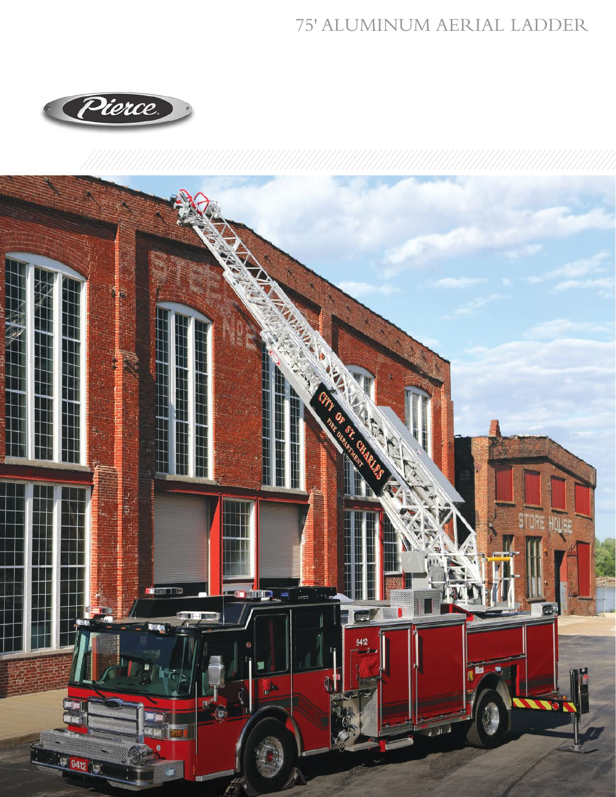## 75' ALUMINUM AERIAL LADDER